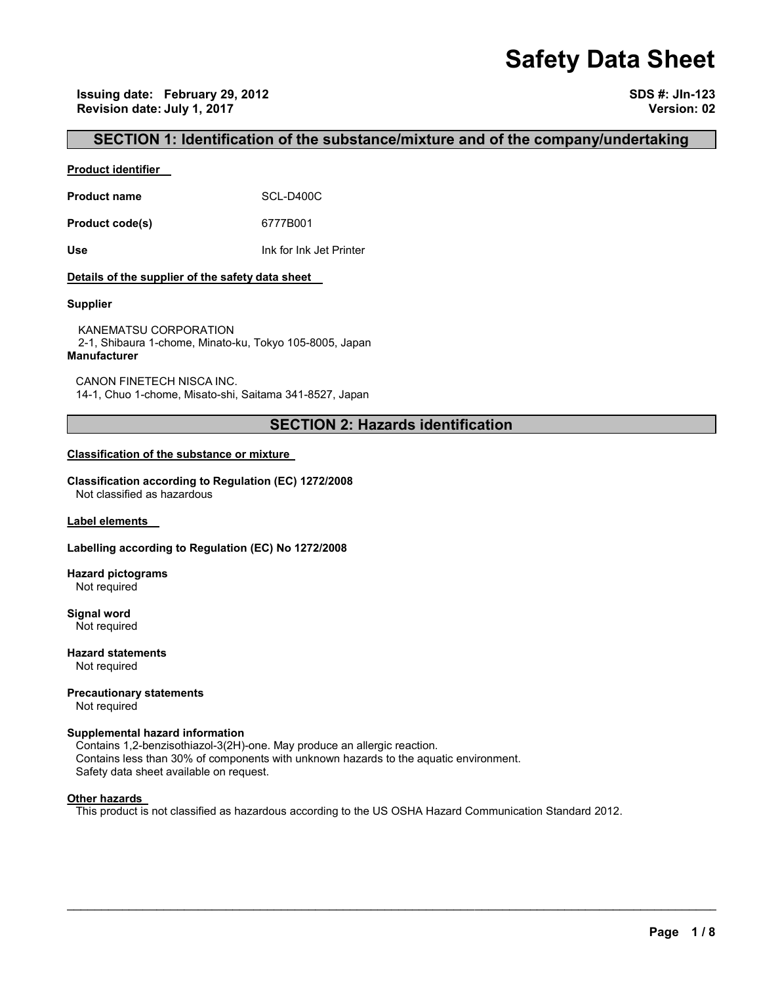# **Safety Data Sheet**

**Issuing date: February 29, 2012 SDS #: JIn-123 Revision date: July 1, 2017 Version: 02** 

### **SECTION 1: Identification of the substance/mixture and of the company/undertaking**

#### **Product identifier**

**Product name** SCL-D400C

**Product code(s)** 6777B001

**Use** Ink for Ink Jet Printer

#### **Details of the supplier of the safety data sheet**

#### **Supplier**

KANEMATSU CORPORATION 2-1, Shibaura 1-chome, Minato-ku, Tokyo 105-8005, Japan **Manufacturer**

CANON FINETECH NISCA INC. 14-1, Chuo 1-chome, Misato-shi, Saitama 341-8527, Japan

## **SECTION 2: Hazards identification**

#### **Classification of the substance or mixture**

**Classification according to Regulation (EC) 1272/2008** Not classified as hazardous

**Label elements** 

#### **Labelling according to Regulation (EC) No 1272/2008**

**Hazard pictograms** Not required

**Signal word** Not required

**Hazard statements** Not required

**Precautionary statements** 

Not required

#### **Supplemental hazard information**

Contains 1,2-benzisothiazol-3(2H)-one. May produce an allergic reaction. Contains less than 30% of components with unknown hazards to the aquatic environment. Safety data sheet available on request.

#### **Other hazards**

This product is not classified as hazardous according to the US OSHA Hazard Communication Standard 2012.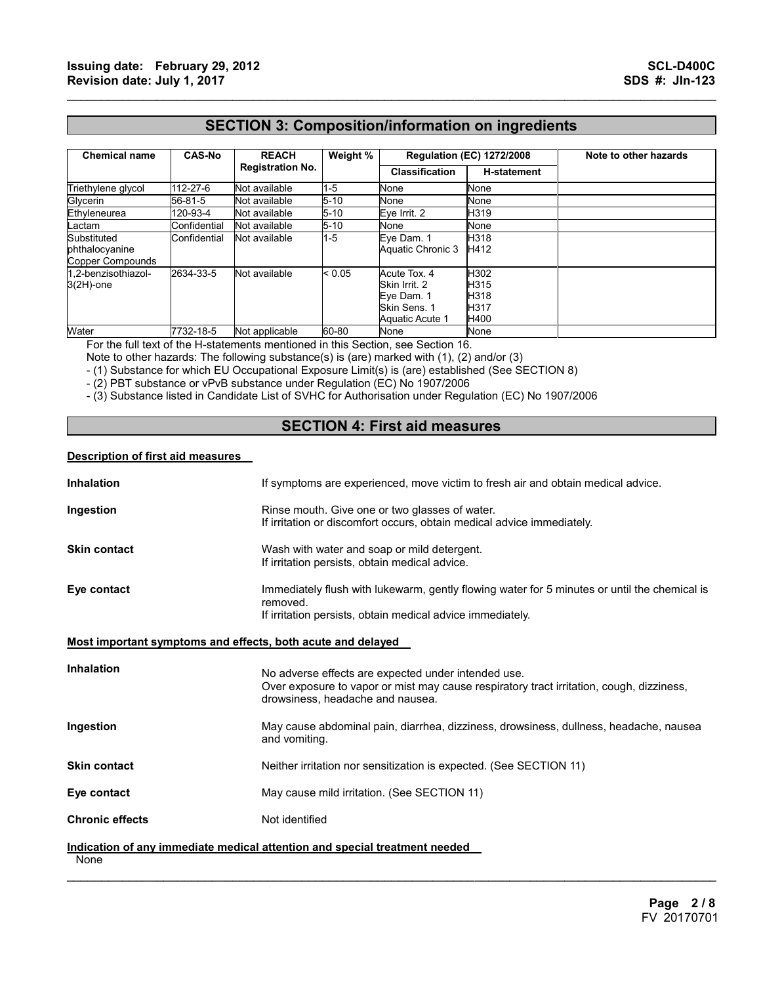## **SECTION 3: Composition/information on ingredients**

 $\mathcal{L}_\mathcal{L} = \{ \mathcal{L}_\mathcal{L} = \{ \mathcal{L}_\mathcal{L} = \{ \mathcal{L}_\mathcal{L} = \{ \mathcal{L}_\mathcal{L} = \{ \mathcal{L}_\mathcal{L} = \{ \mathcal{L}_\mathcal{L} = \{ \mathcal{L}_\mathcal{L} = \{ \mathcal{L}_\mathcal{L} = \{ \mathcal{L}_\mathcal{L} = \{ \mathcal{L}_\mathcal{L} = \{ \mathcal{L}_\mathcal{L} = \{ \mathcal{L}_\mathcal{L} = \{ \mathcal{L}_\mathcal{L} = \{ \mathcal{L}_\mathcal{$ 

| <b>Chemical name</b>                              | <b>CAS-No</b> | <b>REACH</b><br><b>Registration No.</b> | Weight % | <b>Regulation (EC) 1272/2008</b>                                               |                                      | Note to other hazards |
|---------------------------------------------------|---------------|-----------------------------------------|----------|--------------------------------------------------------------------------------|--------------------------------------|-----------------------|
|                                                   |               |                                         |          | <b>Classification</b>                                                          | <b>H-statement</b>                   |                       |
| Triethylene glycol                                | 112-27-6      | Not available                           | 1-5      | None                                                                           | None                                 |                       |
| Glycerin                                          | 56-81-5       | Not available                           | $5 - 10$ | None                                                                           | None                                 |                       |
| Ethyleneurea                                      | 120-93-4      | Not available                           | $5 - 10$ | Eve Irrit. 2                                                                   | H319                                 |                       |
| Lactam                                            | Confidential  | Not available                           | 5-10     | None                                                                           | None                                 |                       |
| Substituted<br>phthalocyanine<br>Copper Compounds | Confidential  | Not available                           | 1-5      | Eye Dam. 1<br>Aquatic Chronic 3                                                | H318<br>H412                         |                       |
| 1.2-benzisothiazol-<br>$3(2H)$ -one               | 2634-33-5     | Not available                           | < 0.05   | Acute Tox. 4<br>Skin Irrit, 2<br>Eye Dam. 1<br>Skin Sens. 1<br>Aquatic Acute 1 | H302<br>H315<br>H318<br>H317<br>H400 |                       |
| Water                                             | 7732-18-5     | Not applicable                          | 60-80    | None                                                                           | None                                 |                       |

For the full text of the H-statements mentioned in this Section, see Section 16.

Note to other hazards: The following substance(s) is (are) marked with (1), (2) and/or (3)

- (1) Substance for which EU Occupational Exposure Limit(s) is (are) established (See SECTION 8)

- (2) PBT substance or vPvB substance under Regulation (EC) No 1907/2006

- (3) Substance listed in Candidate List of SVHC for Authorisation under Regulation (EC) No 1907/2006

## **SECTION 4: First aid measures**

#### **Description of first aid measures**

| <b>Inhalation</b>                                           | If symptoms are experienced, move victim to fresh air and obtain medical advice.                                                                                                    |  |  |
|-------------------------------------------------------------|-------------------------------------------------------------------------------------------------------------------------------------------------------------------------------------|--|--|
| Ingestion                                                   | Rinse mouth. Give one or two glasses of water.<br>If irritation or discomfort occurs, obtain medical advice immediately.                                                            |  |  |
| <b>Skin contact</b>                                         | Wash with water and soap or mild detergent.<br>If irritation persists, obtain medical advice.                                                                                       |  |  |
| Eye contact                                                 | Immediately flush with lukewarm, gently flowing water for 5 minutes or until the chemical is<br>removed.<br>If irritation persists, obtain medical advice immediately.              |  |  |
| Most important symptoms and effects, both acute and delayed |                                                                                                                                                                                     |  |  |
| <b>Inhalation</b>                                           | No adverse effects are expected under intended use.<br>Over exposure to vapor or mist may cause respiratory tract irritation, cough, dizziness,<br>drowsiness, headache and nausea. |  |  |
| Ingestion                                                   | May cause abdominal pain, diarrhea, dizziness, drowsiness, dullness, headache, nausea<br>and vomiting.                                                                              |  |  |
| <b>Skin contact</b>                                         | Neither irritation nor sensitization is expected. (See SECTION 11)                                                                                                                  |  |  |
| Eye contact                                                 | May cause mild irritation. (See SECTION 11)                                                                                                                                         |  |  |
| <b>Chronic effects</b>                                      | Not identified                                                                                                                                                                      |  |  |
| None                                                        | Indication of any immediate medical attention and special treatment needed                                                                                                          |  |  |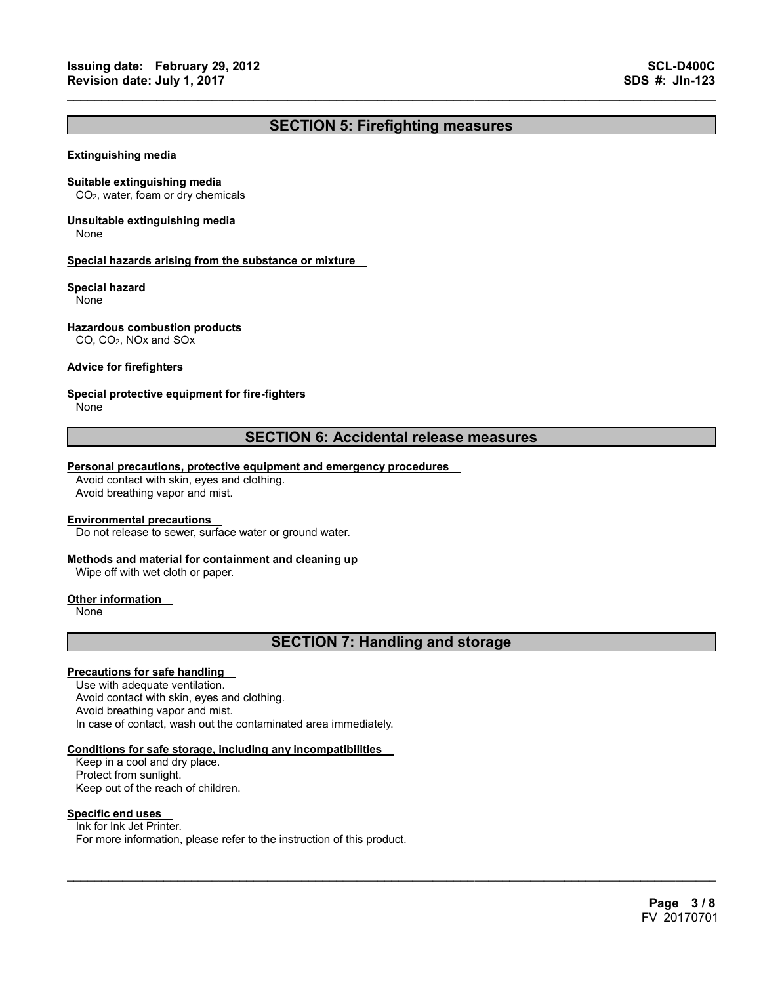## **SECTION 5: Firefighting measures**

 $\mathcal{L}_\mathcal{L} = \{ \mathcal{L}_\mathcal{L} = \{ \mathcal{L}_\mathcal{L} = \{ \mathcal{L}_\mathcal{L} = \{ \mathcal{L}_\mathcal{L} = \{ \mathcal{L}_\mathcal{L} = \{ \mathcal{L}_\mathcal{L} = \{ \mathcal{L}_\mathcal{L} = \{ \mathcal{L}_\mathcal{L} = \{ \mathcal{L}_\mathcal{L} = \{ \mathcal{L}_\mathcal{L} = \{ \mathcal{L}_\mathcal{L} = \{ \mathcal{L}_\mathcal{L} = \{ \mathcal{L}_\mathcal{L} = \{ \mathcal{L}_\mathcal{$ 

#### **Extinguishing media**

#### **Suitable extinguishing media**

CO2, water, foam or dry chemicals

## **Unsuitable extinguishing media**

None

#### **Special hazards arising from the substance or mixture**

#### **Special hazard**

None

#### **Hazardous combustion products**

CO, CO2, NOx and SOx

#### **Advice for firefighters**

#### **Special protective equipment for fire-fighters**

None

### **SECTION 6: Accidental release measures**

#### **Personal precautions, protective equipment and emergency procedures**

Avoid contact with skin, eyes and clothing. Avoid breathing vapor and mist.

#### **Environmental precautions**

Do not release to sewer, surface water or ground water.

#### **Methods and material for containment and cleaning up**

Wipe off with wet cloth or paper.

#### **Other information**

None

## **SECTION 7: Handling and storage**

 $\mathcal{L}_\mathcal{L} = \mathcal{L}_\mathcal{L} = \mathcal{L}_\mathcal{L} = \mathcal{L}_\mathcal{L} = \mathcal{L}_\mathcal{L} = \mathcal{L}_\mathcal{L} = \mathcal{L}_\mathcal{L} = \mathcal{L}_\mathcal{L} = \mathcal{L}_\mathcal{L} = \mathcal{L}_\mathcal{L} = \mathcal{L}_\mathcal{L} = \mathcal{L}_\mathcal{L} = \mathcal{L}_\mathcal{L} = \mathcal{L}_\mathcal{L} = \mathcal{L}_\mathcal{L} = \mathcal{L}_\mathcal{L} = \mathcal{L}_\mathcal{L}$ 

#### **Precautions for safe handling**

Use with adequate ventilation. Avoid contact with skin, eyes and clothing. Avoid breathing vapor and mist. In case of contact, wash out the contaminated area immediately.

#### **Conditions for safe storage, including any incompatibilities**

Keep in a cool and dry place. Protect from sunlight. Keep out of the reach of children.

#### **Specific end uses**

Ink for Ink Jet Printer. For more information, please refer to the instruction of this product.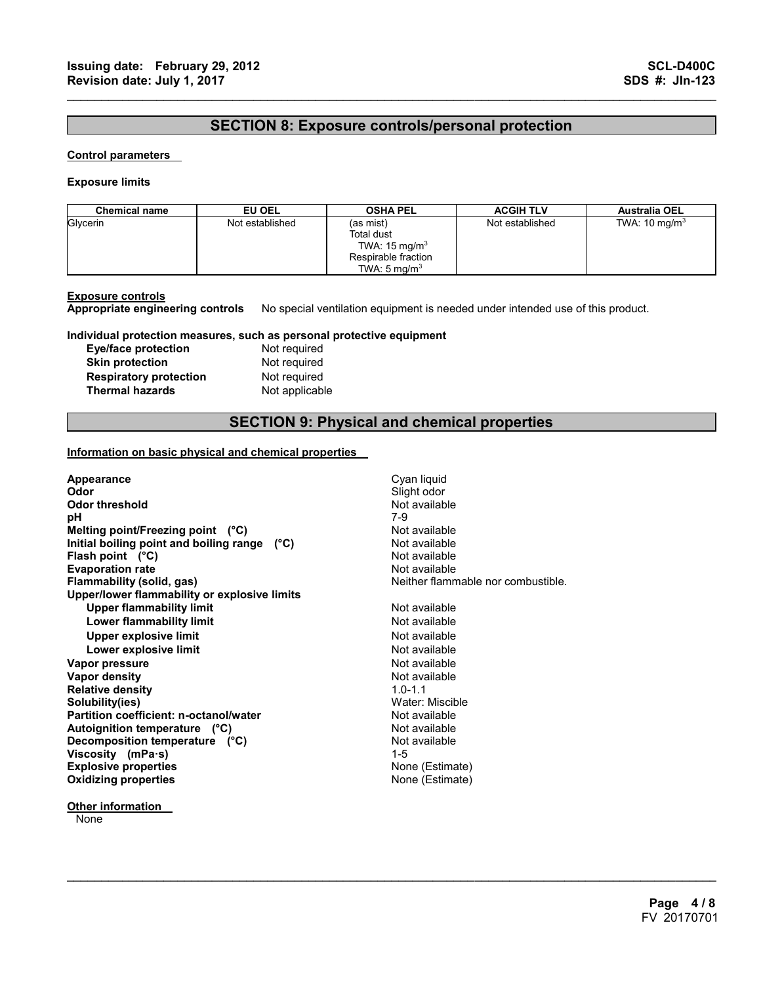## **SECTION 8: Exposure controls/personal protection**

 $\mathcal{L}_\mathcal{L} = \{ \mathcal{L}_\mathcal{L} = \{ \mathcal{L}_\mathcal{L} = \{ \mathcal{L}_\mathcal{L} = \{ \mathcal{L}_\mathcal{L} = \{ \mathcal{L}_\mathcal{L} = \{ \mathcal{L}_\mathcal{L} = \{ \mathcal{L}_\mathcal{L} = \{ \mathcal{L}_\mathcal{L} = \{ \mathcal{L}_\mathcal{L} = \{ \mathcal{L}_\mathcal{L} = \{ \mathcal{L}_\mathcal{L} = \{ \mathcal{L}_\mathcal{L} = \{ \mathcal{L}_\mathcal{L} = \{ \mathcal{L}_\mathcal{$ 

#### **Control parameters**

#### **Exposure limits**

| <b>Chemical name</b> | EU OEL          | <b>OSHA PEL</b>                                                                                       | <b>ACGIH TLV</b> | <b>Australia OEL</b>     |
|----------------------|-----------------|-------------------------------------------------------------------------------------------------------|------------------|--------------------------|
| Glycerin             | Not established | (as mist)<br>Total dust<br>TWA: $15 \text{ mg/m}^3$<br>Respirable fraction<br>TWA: $5 \text{ mg/m}^3$ | Not established  | TWA: $10 \text{ mg/m}^3$ |

**Exposure controls Appropriate engineering controls** No special ventilation equipment is needed under intended use of this product.

#### **Individual protection measures, such as personal protective equipment**

| <b>Eye/face protection</b>    |  |
|-------------------------------|--|
| <b>Skin protection</b>        |  |
| <b>Respiratory protection</b> |  |
| <b>Thermal hazards</b>        |  |

**Not required Not required Not required Not applicable** 

## **SECTION 9: Physical and chemical properties**

 $\mathcal{L}_\mathcal{L} = \mathcal{L}_\mathcal{L} = \mathcal{L}_\mathcal{L} = \mathcal{L}_\mathcal{L} = \mathcal{L}_\mathcal{L} = \mathcal{L}_\mathcal{L} = \mathcal{L}_\mathcal{L} = \mathcal{L}_\mathcal{L} = \mathcal{L}_\mathcal{L} = \mathcal{L}_\mathcal{L} = \mathcal{L}_\mathcal{L} = \mathcal{L}_\mathcal{L} = \mathcal{L}_\mathcal{L} = \mathcal{L}_\mathcal{L} = \mathcal{L}_\mathcal{L} = \mathcal{L}_\mathcal{L} = \mathcal{L}_\mathcal{L}$ 

#### **Information on basic physical and chemical properties**

| Appearance                                   | Cyan liquid                       |
|----------------------------------------------|-----------------------------------|
| Odor                                         | Slight odor                       |
| Odor threshold                               | Not available                     |
| рH                                           | 7-9                               |
| Melting point/Freezing point $(^{\circ}C)$   | Not available                     |
| Initial boiling point and boiling range (°C) | Not available                     |
| Flash point $(^{\circ}C)$                    | Not available                     |
| <b>Evaporation rate</b>                      | Not available                     |
| Flammability (solid, gas)                    | Neither flammable nor combustible |
| Upper/lower flammability or explosive limits |                                   |
| <b>Upper flammability limit</b>              | Not available                     |
| <b>Lower flammability limit</b>              | Not available                     |
| <b>Upper explosive limit</b>                 | Not available                     |
| Lower explosive limit                        | Not available                     |
| Vapor pressure                               | Not available                     |
| Vapor density                                | Not available                     |
| <b>Relative density</b>                      | $10 - 11$                         |
| Solubility(ies)                              | Water: Miscible                   |
| Partition coefficient: n-octanol/water       | Not available                     |
| Autoignition temperature (°C)                | Not available                     |
| Decomposition temperature (°C)               | Not available                     |
| Viscosity (mPa·s)                            | $1 - 5$                           |
| <b>Explosive properties</b>                  | None (Estimate)                   |
| <b>Oxidizing properties</b>                  | None (Estimate)                   |
|                                              |                                   |

**Other information** 

**None**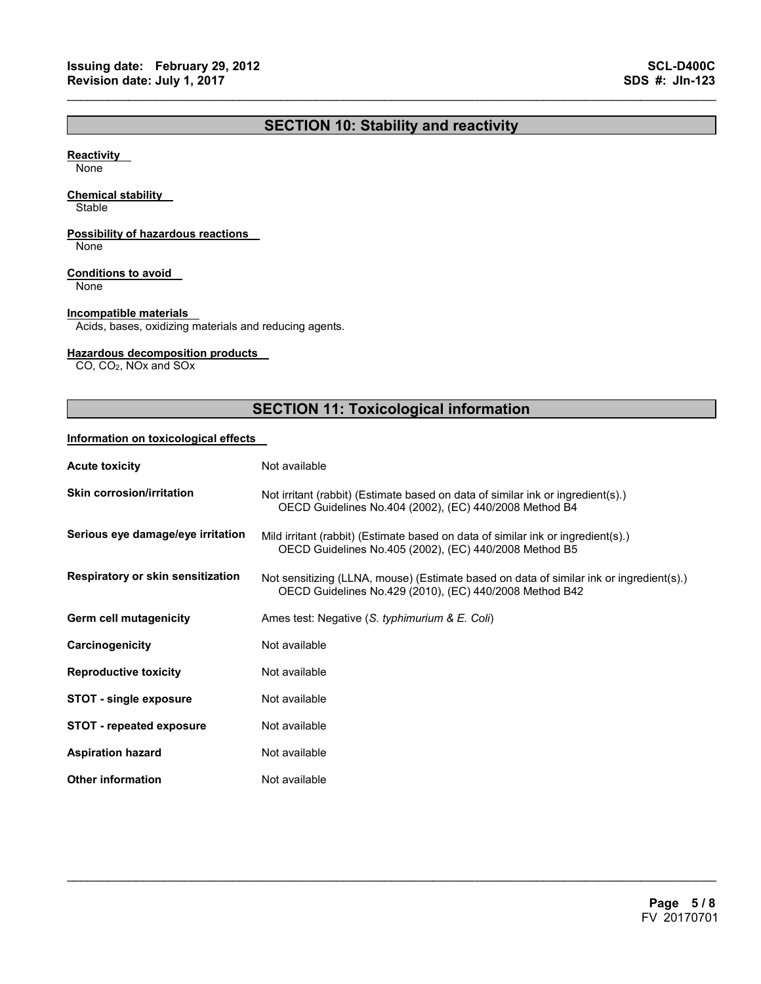## **SECTION 10: Stability and reactivity**

 $\mathcal{L}_\mathcal{L} = \{ \mathcal{L}_\mathcal{L} = \{ \mathcal{L}_\mathcal{L} = \{ \mathcal{L}_\mathcal{L} = \{ \mathcal{L}_\mathcal{L} = \{ \mathcal{L}_\mathcal{L} = \{ \mathcal{L}_\mathcal{L} = \{ \mathcal{L}_\mathcal{L} = \{ \mathcal{L}_\mathcal{L} = \{ \mathcal{L}_\mathcal{L} = \{ \mathcal{L}_\mathcal{L} = \{ \mathcal{L}_\mathcal{L} = \{ \mathcal{L}_\mathcal{L} = \{ \mathcal{L}_\mathcal{L} = \{ \mathcal{L}_\mathcal{$ 

#### **Reactivity**

None

#### **Chemical stability**

**Stable** 

#### **Possibility of hazardous reactions**

None

#### **Conditions to avoid**

None

#### **Incompatible materials**

Acids, bases, oxidizing materials and reducing agents.

#### **Hazardous decomposition products**

CO, CO2, NOx and SOx

## **SECTION 11: Toxicological information**

#### **Information on toxicological effects**

| <b>Acute toxicity</b>             | Not available                                                                                                                                      |
|-----------------------------------|----------------------------------------------------------------------------------------------------------------------------------------------------|
| <b>Skin corrosion/irritation</b>  | Not irritant (rabbit) (Estimate based on data of similar ink or ingredient(s).)<br>OECD Guidelines No.404 (2002), (EC) 440/2008 Method B4          |
| Serious eye damage/eye irritation | Mild irritant (rabbit) (Estimate based on data of similar ink or ingredient(s).)<br>OECD Guidelines No.405 (2002), (EC) 440/2008 Method B5         |
| Respiratory or skin sensitization | Not sensitizing (LLNA, mouse) (Estimate based on data of similar ink or ingredient(s).)<br>OECD Guidelines No.429 (2010), (EC) 440/2008 Method B42 |
| Germ cell mutagenicity            | Ames test: Negative (S. typhimurium & E. Coli)                                                                                                     |
| Carcinogenicity                   | Not available                                                                                                                                      |
| <b>Reproductive toxicity</b>      | Not available                                                                                                                                      |
| <b>STOT - single exposure</b>     | Not available                                                                                                                                      |
| <b>STOT</b> - repeated exposure   | Not available                                                                                                                                      |
| <b>Aspiration hazard</b>          | Not available                                                                                                                                      |
| <b>Other information</b>          | Not available                                                                                                                                      |

 $\mathcal{L}_\mathcal{L} = \mathcal{L}_\mathcal{L} = \mathcal{L}_\mathcal{L} = \mathcal{L}_\mathcal{L} = \mathcal{L}_\mathcal{L} = \mathcal{L}_\mathcal{L} = \mathcal{L}_\mathcal{L} = \mathcal{L}_\mathcal{L} = \mathcal{L}_\mathcal{L} = \mathcal{L}_\mathcal{L} = \mathcal{L}_\mathcal{L} = \mathcal{L}_\mathcal{L} = \mathcal{L}_\mathcal{L} = \mathcal{L}_\mathcal{L} = \mathcal{L}_\mathcal{L} = \mathcal{L}_\mathcal{L} = \mathcal{L}_\mathcal{L}$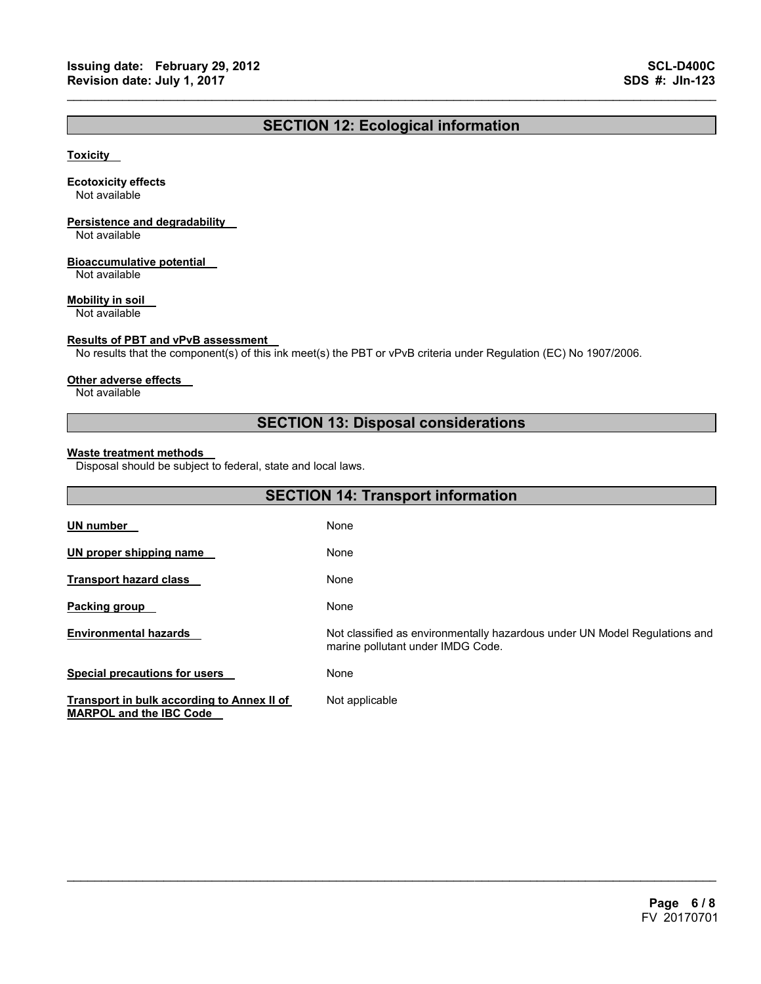## **SECTION 12: Ecological information**

 $\mathcal{L}_\mathcal{L} = \{ \mathcal{L}_\mathcal{L} = \{ \mathcal{L}_\mathcal{L} = \{ \mathcal{L}_\mathcal{L} = \{ \mathcal{L}_\mathcal{L} = \{ \mathcal{L}_\mathcal{L} = \{ \mathcal{L}_\mathcal{L} = \{ \mathcal{L}_\mathcal{L} = \{ \mathcal{L}_\mathcal{L} = \{ \mathcal{L}_\mathcal{L} = \{ \mathcal{L}_\mathcal{L} = \{ \mathcal{L}_\mathcal{L} = \{ \mathcal{L}_\mathcal{L} = \{ \mathcal{L}_\mathcal{L} = \{ \mathcal{L}_\mathcal{$ 

#### **Toxicity**

#### **Ecotoxicity effects**

Not available

## **Persistence and degradability**

Not available

#### **Bioaccumulative potential**

Not available

#### **Mobility in soil**

Not available

#### **Results of PBT and vPvB assessment**

No results that the component(s) of this ink meet(s) the PBT or vPvB criteria under Regulation (EC) No 1907/2006.

#### **Other adverse effects**

Not available

## **SECTION 13: Disposal considerations**

#### **Waste treatment methods**

Disposal should be subject to federal, state and local laws.

| <b>SECTION 14: Transport information</b>                                     |                                                                                                                 |  |
|------------------------------------------------------------------------------|-----------------------------------------------------------------------------------------------------------------|--|
| UN number                                                                    | None                                                                                                            |  |
| UN proper shipping name                                                      | None                                                                                                            |  |
| <b>Transport hazard class</b>                                                | None                                                                                                            |  |
| Packing group                                                                | None                                                                                                            |  |
| <b>Environmental hazards</b>                                                 | Not classified as environmentally hazardous under UN Model Regulations and<br>marine pollutant under IMDG Code. |  |
| <b>Special precautions for users</b>                                         | None                                                                                                            |  |
| Transport in bulk according to Annex II of<br><b>MARPOL and the IBC Code</b> | Not applicable                                                                                                  |  |

 $\mathcal{L}_\mathcal{L} = \mathcal{L}_\mathcal{L} = \mathcal{L}_\mathcal{L} = \mathcal{L}_\mathcal{L} = \mathcal{L}_\mathcal{L} = \mathcal{L}_\mathcal{L} = \mathcal{L}_\mathcal{L} = \mathcal{L}_\mathcal{L} = \mathcal{L}_\mathcal{L} = \mathcal{L}_\mathcal{L} = \mathcal{L}_\mathcal{L} = \mathcal{L}_\mathcal{L} = \mathcal{L}_\mathcal{L} = \mathcal{L}_\mathcal{L} = \mathcal{L}_\mathcal{L} = \mathcal{L}_\mathcal{L} = \mathcal{L}_\mathcal{L}$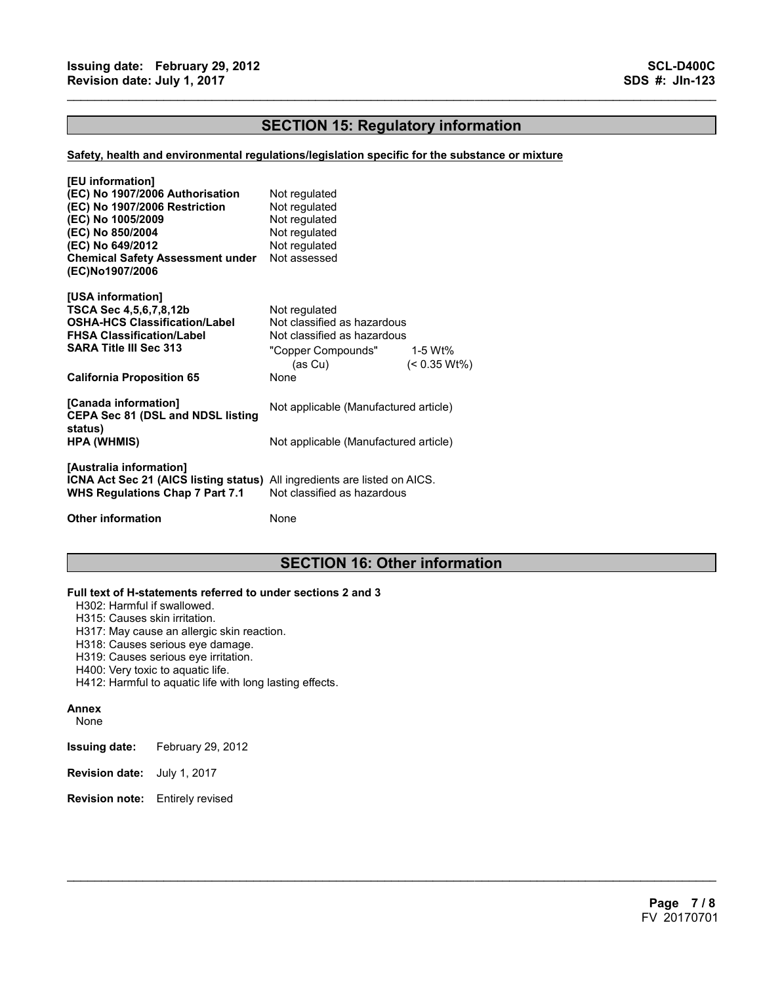## **SECTION 15: Regulatory information**

 $\mathcal{L}_\mathcal{L} = \{ \mathcal{L}_\mathcal{L} = \{ \mathcal{L}_\mathcal{L} = \{ \mathcal{L}_\mathcal{L} = \{ \mathcal{L}_\mathcal{L} = \{ \mathcal{L}_\mathcal{L} = \{ \mathcal{L}_\mathcal{L} = \{ \mathcal{L}_\mathcal{L} = \{ \mathcal{L}_\mathcal{L} = \{ \mathcal{L}_\mathcal{L} = \{ \mathcal{L}_\mathcal{L} = \{ \mathcal{L}_\mathcal{L} = \{ \mathcal{L}_\mathcal{L} = \{ \mathcal{L}_\mathcal{L} = \{ \mathcal{L}_\mathcal{$ 

#### **Safety, health and environmental regulations/legislation specific for the substance or mixture**

| [EU information]<br>(EC) No 1907/2006 Authorisation<br>(EC) No 1907/2006 Restriction<br>(EC) No 1005/2009<br>(EC) No 850/2004<br>(EC) No 649/2012<br><b>Chemical Safety Assessment under</b><br>(EC)No1907/2006 | Not regulated<br>Not regulated<br>Not regulated<br>Not regulated<br>Not regulated<br>Not assessed                                                  |
|-----------------------------------------------------------------------------------------------------------------------------------------------------------------------------------------------------------------|----------------------------------------------------------------------------------------------------------------------------------------------------|
| [USA information]<br>TSCA Sec 4,5,6,7,8,12b<br><b>OSHA-HCS Classification/Label</b><br><b>FHSA Classification/Label</b><br><b>SARA Title III Sec 313</b><br><b>California Proposition 65</b>                    | Not regulated<br>Not classified as hazardous<br>Not classified as hazardous<br>"Copper Compounds"<br>1-5 Wt%<br>$(< 0.35 Wt\%)$<br>(as Cu)<br>None |
| [Canada information]<br><b>CEPA Sec 81 (DSL and NDSL listing</b><br>status)<br><b>HPA (WHMIS)</b>                                                                                                               | Not applicable (Manufactured article)<br>Not applicable (Manufactured article)                                                                     |
| [Australia information]<br>ICNA Act Sec 21 (AICS listing status) All ingredients are listed on AICS.<br><b>WHS Regulations Chap 7 Part 7.1</b>                                                                  | Not classified as hazardous                                                                                                                        |
| <b>Other information</b>                                                                                                                                                                                        | None                                                                                                                                               |

## **SECTION 16: Other information**

 $\mathcal{L}_\mathcal{L} = \mathcal{L}_\mathcal{L} = \mathcal{L}_\mathcal{L} = \mathcal{L}_\mathcal{L} = \mathcal{L}_\mathcal{L} = \mathcal{L}_\mathcal{L} = \mathcal{L}_\mathcal{L} = \mathcal{L}_\mathcal{L} = \mathcal{L}_\mathcal{L} = \mathcal{L}_\mathcal{L} = \mathcal{L}_\mathcal{L} = \mathcal{L}_\mathcal{L} = \mathcal{L}_\mathcal{L} = \mathcal{L}_\mathcal{L} = \mathcal{L}_\mathcal{L} = \mathcal{L}_\mathcal{L} = \mathcal{L}_\mathcal{L}$ 

#### **Full text of H-statements referred to under sections 2 and 3**

H302: Harmful if swallowed.

H315: Causes skin irritation.

- H317: May cause an allergic skin reaction.
- H318: Causes serious eye damage.
- H319: Causes serious eye irritation.
- H400: Very toxic to aquatic life.
- H412: Harmful to aquatic life with long lasting effects.

#### **Annex**

None

- **Issuing date:** February 29, 2012
- **Revision date:** July 1, 2017
- **Revision note:** Entirely revised